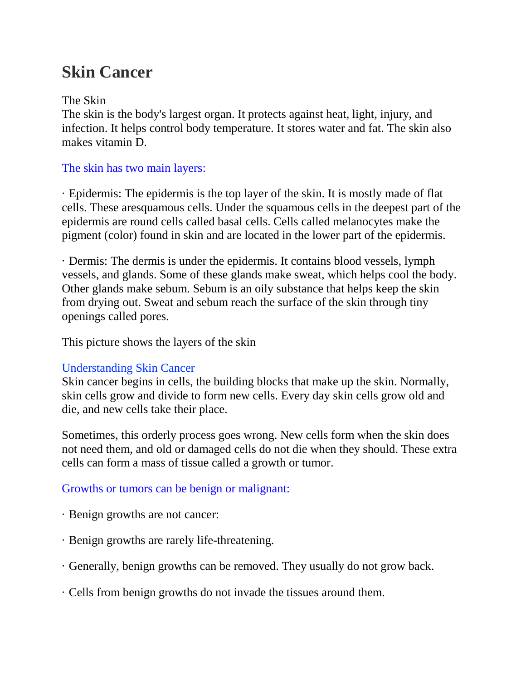# **Skin Cancer**

The Skin

The skin is the body's largest organ. It protects against heat, light, injury, and infection. It helps control body temperature. It stores water and fat. The skin also makes vitamin D.

## The skin has two main layers:

· Epidermis: The epidermis is the top layer of the skin. It is mostly made of flat cells. These aresquamous cells. Under the squamous cells in the deepest part of the epidermis are round cells called basal cells. Cells called melanocytes make the pigment (color) found in skin and are located in the lower part of the epidermis.

· Dermis: The dermis is under the epidermis. It contains blood vessels, lymph vessels, and glands. Some of these glands make sweat, which helps cool the body. Other glands make sebum. Sebum is an oily substance that helps keep the skin from drying out. Sweat and sebum reach the surface of the skin through tiny openings called pores.

This picture shows the layers of the skin

# Understanding Skin Cancer

Skin cancer begins in cells, the building blocks that make up the skin. Normally, skin cells grow and divide to form new cells. Every day skin cells grow old and die, and new cells take their place.

Sometimes, this orderly process goes wrong. New cells form when the skin does not need them, and old or damaged cells do not die when they should. These extra cells can form a mass of tissue called a growth or tumor.

# Growths or tumors can be benign or malignant:

- · Benign growths are not cancer:
- · Benign growths are rarely life-threatening.
- · Generally, benign growths can be removed. They usually do not grow back.
- · Cells from benign growths do not invade the tissues around them.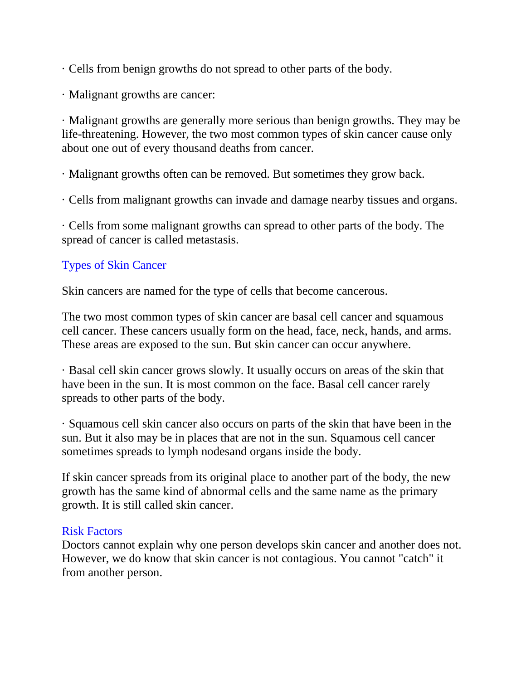- · Cells from benign growths do not spread to other parts of the body.
- · Malignant growths are cancer:

· Malignant growths are generally more serious than benign growths. They may be life-threatening. However, the two most common types of skin cancer cause only about one out of every thousand deaths from cancer.

· Malignant growths often can be removed. But sometimes they grow back.

· Cells from malignant growths can invade and damage nearby tissues and organs.

· Cells from some malignant growths can spread to other parts of the body. The spread of cancer is called metastasis.

#### Types of Skin Cancer

Skin cancers are named for the type of cells that become cancerous.

The two most common types of skin cancer are basal cell cancer and squamous cell cancer. These cancers usually form on the head, face, neck, hands, and arms. These areas are exposed to the sun. But skin cancer can occur anywhere.

· Basal cell skin cancer grows slowly. It usually occurs on areas of the skin that have been in the sun. It is most common on the face. Basal cell cancer rarely spreads to other parts of the body.

· Squamous cell skin cancer also occurs on parts of the skin that have been in the sun. But it also may be in places that are not in the sun. Squamous cell cancer sometimes spreads to lymph nodesand organs inside the body.

If skin cancer spreads from its original place to another part of the body, the new growth has the same kind of abnormal cells and the same name as the primary growth. It is still called skin cancer.

#### Risk Factors

Doctors cannot explain why one person develops skin cancer and another does not. However, we do know that skin cancer is not contagious. You cannot "catch" it from another person.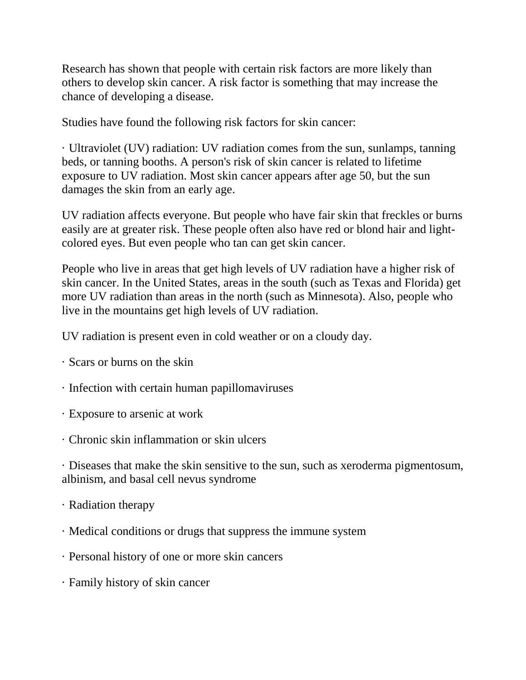Research has shown that people with certain risk factors are more likely than others to develop skin cancer. A risk factor is something that may increase the chance of developing a disease.

Studies have found the following risk factors for skin cancer:

· Ultraviolet (UV) radiation: UV radiation comes from the sun, sunlamps, tanning beds, or tanning booths. A person's risk of skin cancer is related to lifetime exposure to UV radiation. Most skin cancer appears after age 50, but the sun damages the skin from an early age.

UV radiation affects everyone. But people who have fair skin that freckles or burns easily are at greater risk. These people often also have red or blond hair and lightcolored eyes. But even people who tan can get skin cancer.

People who live in areas that get high levels of UV radiation have a higher risk of skin cancer. In the United States, areas in the south (such as Texas and Florida) get more UV radiation than areas in the north (such as Minnesota). Also, people who live in the mountains get high levels of UV radiation.

UV radiation is present even in cold weather or on a cloudy day.

- · Scars or burns on the skin
- · Infection with certain human papillomaviruses
- · Exposure to arsenic at work
- · Chronic skin inflammation or skin ulcers

· Diseases that make the skin sensitive to the sun, such as xeroderma pigmentosum, albinism, and basal cell nevus syndrome

- · Radiation therapy
- · Medical conditions or drugs that suppress the immune system
- · Personal history of one or more skin cancers
- · Family history of skin cancer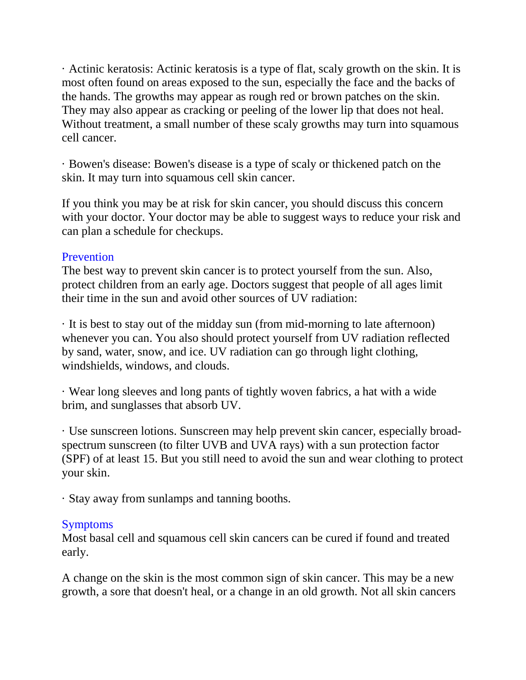· Actinic keratosis: Actinic keratosis is a type of flat, scaly growth on the skin. It is most often found on areas exposed to the sun, especially the face and the backs of the hands. The growths may appear as rough red or brown patches on the skin. They may also appear as cracking or peeling of the lower lip that does not heal. Without treatment, a small number of these scaly growths may turn into squamous cell cancer.

· Bowen's disease: Bowen's disease is a type of scaly or thickened patch on the skin. It may turn into squamous cell skin cancer.

If you think you may be at risk for skin cancer, you should discuss this concern with your doctor. Your doctor may be able to suggest ways to reduce your risk and can plan a schedule for checkups.

## **Prevention**

The best way to prevent skin cancer is to protect yourself from the sun. Also, protect children from an early age. Doctors suggest that people of all ages limit their time in the sun and avoid other sources of UV radiation:

· It is best to stay out of the midday sun (from mid-morning to late afternoon) whenever you can. You also should protect yourself from UV radiation reflected by sand, water, snow, and ice. UV radiation can go through light clothing, windshields, windows, and clouds.

· Wear long sleeves and long pants of tightly woven fabrics, a hat with a wide brim, and sunglasses that absorb UV.

· Use sunscreen lotions. Sunscreen may help prevent skin cancer, especially broadspectrum sunscreen (to filter UVB and UVA rays) with a sun protection factor (SPF) of at least 15. But you still need to avoid the sun and wear clothing to protect your skin.

· Stay away from sunlamps and tanning booths.

#### Symptoms

Most basal cell and squamous cell skin cancers can be cured if found and treated early.

A change on the skin is the most common sign of skin cancer. This may be a new growth, a sore that doesn't heal, or a change in an old growth. Not all skin cancers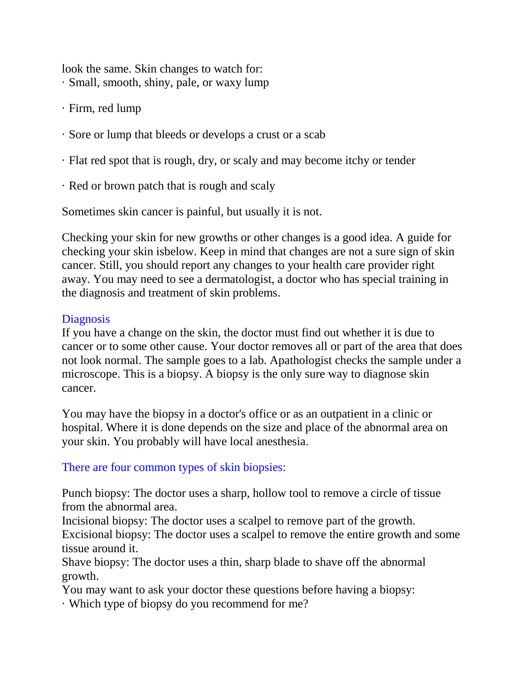look the same. Skin changes to watch for:

- · Small, smooth, shiny, pale, or waxy lump
- · Firm, red lump
- · Sore or lump that bleeds or develops a crust or a scab
- · Flat red spot that is rough, dry, or scaly and may become itchy or tender
- · Red or brown patch that is rough and scaly

Sometimes skin cancer is painful, but usually it is not.

Checking your skin for new growths or other changes is a good idea. A guide for checking your skin isbelow. Keep in mind that changes are not a sure sign of skin cancer. Still, you should report any changes to your health care provider right away. You may need to see a dermatologist, a doctor who has special training in the diagnosis and treatment of skin problems.

# **Diagnosis**

If you have a change on the skin, the doctor must find out whether it is due to cancer or to some other cause. Your doctor removes all or part of the area that does not look normal. The sample goes to a lab. Apathologist checks the sample under a microscope. This is a biopsy. A biopsy is the only sure way to diagnose skin cancer.

You may have the biopsy in a doctor's office or as an outpatient in a clinic or hospital. Where it is done depends on the size and place of the abnormal area on your skin. You probably will have local anesthesia.

There are four common types of skin biopsies:

Punch biopsy: The doctor uses a sharp, hollow tool to remove a circle of tissue from the abnormal area.

Incisional biopsy: The doctor uses a scalpel to remove part of the growth.

Excisional biopsy: The doctor uses a scalpel to remove the entire growth and some tissue around it.

Shave biopsy: The doctor uses a thin, sharp blade to shave off the abnormal growth.

You may want to ask your doctor these questions before having a biopsy:

· Which type of biopsy do you recommend for me?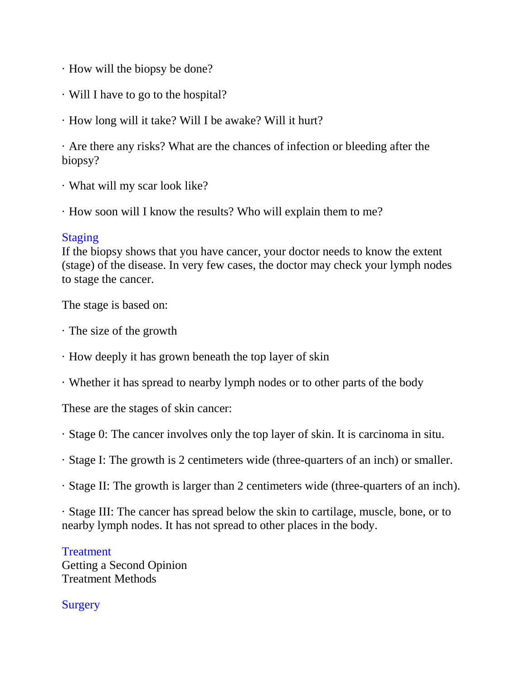- · How will the biopsy be done?
- · Will I have to go to the hospital?
- · How long will it take? Will I be awake? Will it hurt?

· Are there any risks? What are the chances of infection or bleeding after the biopsy?

- · What will my scar look like?
- · How soon will I know the results? Who will explain them to me?

#### Staging

If the biopsy shows that you have cancer, your doctor needs to know the extent (stage) of the disease. In very few cases, the doctor may check your lymph nodes to stage the cancer.

The stage is based on:

- · The size of the growth
- · How deeply it has grown beneath the top layer of skin
- · Whether it has spread to nearby lymph nodes or to other parts of the body

These are the stages of skin cancer:

- · Stage 0: The cancer involves only the top layer of skin. It is carcinoma in situ.
- · Stage I: The growth is 2 centimeters wide (three-quarters of an inch) or smaller.
- · Stage II: The growth is larger than 2 centimeters wide (three-quarters of an inch).

· Stage III: The cancer has spread below the skin to cartilage, muscle, bone, or to nearby lymph nodes. It has not spread to other places in the body.

#### Treatment

Getting a Second Opinion Treatment Methods

#### **Surgery**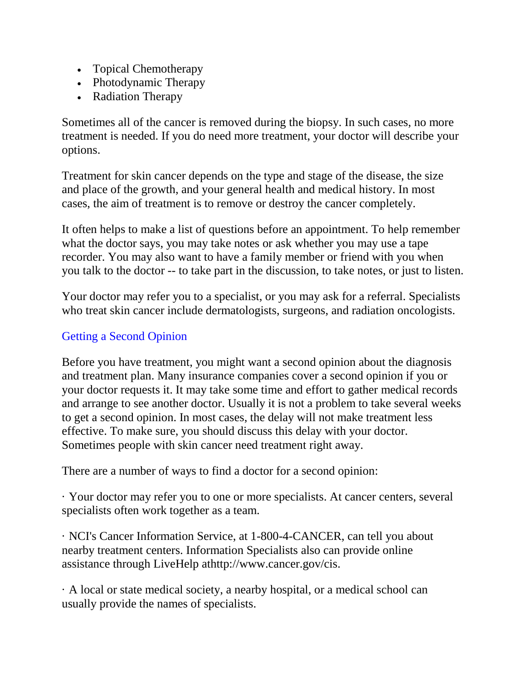- Topical Chemotherapy
- Photodynamic Therapy
- Radiation Therapy

Sometimes all of the cancer is removed during the biopsy. In such cases, no more treatment is needed. If you do need more treatment, your doctor will describe your options.

Treatment for skin cancer depends on the type and stage of the disease, the size and place of the growth, and your general health and medical history. In most cases, the aim of treatment is to remove or destroy the cancer completely.

It often helps to make a list of questions before an appointment. To help remember what the doctor says, you may take notes or ask whether you may use a tape recorder. You may also want to have a family member or friend with you when you talk to the doctor -- to take part in the discussion, to take notes, or just to listen.

Your doctor may refer you to a specialist, or you may ask for a referral. Specialists who treat skin cancer include dermatologists, surgeons, and radiation oncologists.

# Getting a Second Opinion

Before you have treatment, you might want a second opinion about the diagnosis and treatment plan. Many insurance companies cover a second opinion if you or your doctor requests it. It may take some time and effort to gather medical records and arrange to see another doctor. Usually it is not a problem to take several weeks to get a second opinion. In most cases, the delay will not make treatment less effective. To make sure, you should discuss this delay with your doctor. Sometimes people with skin cancer need treatment right away.

There are a number of ways to find a doctor for a second opinion:

· Your doctor may refer you to one or more specialists. At cancer centers, several specialists often work together as a team.

· NCI's Cancer Information Service, at 1-800-4-CANCER, can tell you about nearby treatment centers. Information Specialists also can provide online assistance through LiveHelp athttp://www.cancer.gov/cis.

· A local or state medical society, a nearby hospital, or a medical school can usually provide the names of specialists.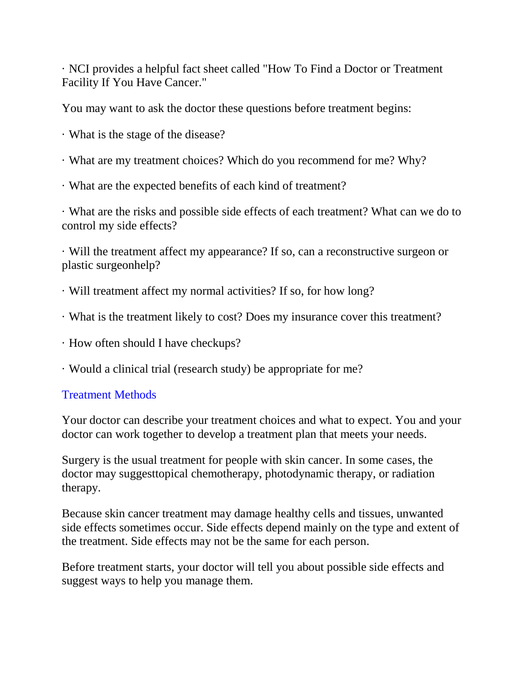· NCI provides a helpful fact sheet called "How To Find a Doctor or Treatment Facility If You Have Cancer."

You may want to ask the doctor these questions before treatment begins:

- · What is the stage of the disease?
- · What are my treatment choices? Which do you recommend for me? Why?
- · What are the expected benefits of each kind of treatment?

· What are the risks and possible side effects of each treatment? What can we do to control my side effects?

· Will the treatment affect my appearance? If so, can a reconstructive surgeon or plastic surgeonhelp?

- · Will treatment affect my normal activities? If so, for how long?
- · What is the treatment likely to cost? Does my insurance cover this treatment?
- · How often should I have checkups?
- · Would a clinical trial (research study) be appropriate for me?

# Treatment Methods

Your doctor can describe your treatment choices and what to expect. You and your doctor can work together to develop a treatment plan that meets your needs.

Surgery is the usual treatment for people with skin cancer. In some cases, the doctor may suggesttopical chemotherapy, photodynamic therapy, or radiation therapy.

Because skin cancer treatment may damage healthy cells and tissues, unwanted side effects sometimes occur. Side effects depend mainly on the type and extent of the treatment. Side effects may not be the same for each person.

Before treatment starts, your doctor will tell you about possible side effects and suggest ways to help you manage them.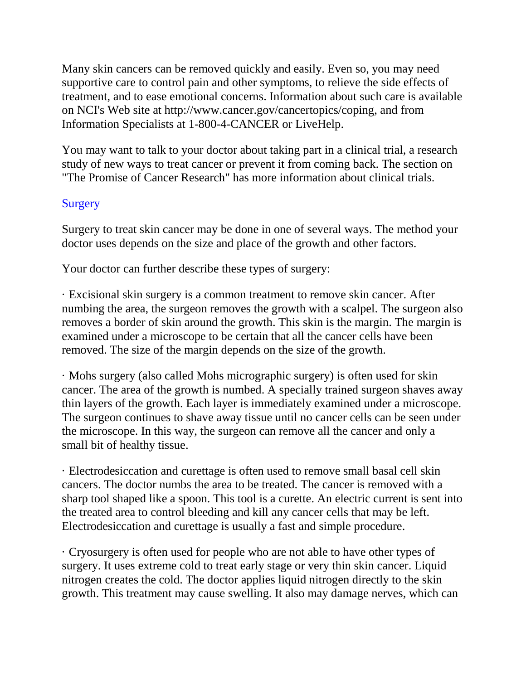Many skin cancers can be removed quickly and easily. Even so, you may need supportive care to control pain and other symptoms, to relieve the side effects of treatment, and to ease emotional concerns. Information about such care is available on NCI's Web site at http://www.cancer.gov/cancertopics/coping, and from Information Specialists at 1-800-4-CANCER or LiveHelp.

You may want to talk to your doctor about taking part in a clinical trial, a research study of new ways to treat cancer or prevent it from coming back. The section on "The Promise of Cancer Research" has more information about clinical trials.

## **Surgery**

Surgery to treat skin cancer may be done in one of several ways. The method your doctor uses depends on the size and place of the growth and other factors.

Your doctor can further describe these types of surgery:

· Excisional skin surgery is a common treatment to remove skin cancer. After numbing the area, the surgeon removes the growth with a scalpel. The surgeon also removes a border of skin around the growth. This skin is the margin. The margin is examined under a microscope to be certain that all the cancer cells have been removed. The size of the margin depends on the size of the growth.

· Mohs surgery (also called Mohs micrographic surgery) is often used for skin cancer. The area of the growth is numbed. A specially trained surgeon shaves away thin layers of the growth. Each layer is immediately examined under a microscope. The surgeon continues to shave away tissue until no cancer cells can be seen under the microscope. In this way, the surgeon can remove all the cancer and only a small bit of healthy tissue.

· Electrodesiccation and curettage is often used to remove small basal cell skin cancers. The doctor numbs the area to be treated. The cancer is removed with a sharp tool shaped like a spoon. This tool is a curette. An electric current is sent into the treated area to control bleeding and kill any cancer cells that may be left. Electrodesiccation and curettage is usually a fast and simple procedure.

· Cryosurgery is often used for people who are not able to have other types of surgery. It uses extreme cold to treat early stage or very thin skin cancer. Liquid nitrogen creates the cold. The doctor applies liquid nitrogen directly to the skin growth. This treatment may cause swelling. It also may damage nerves, which can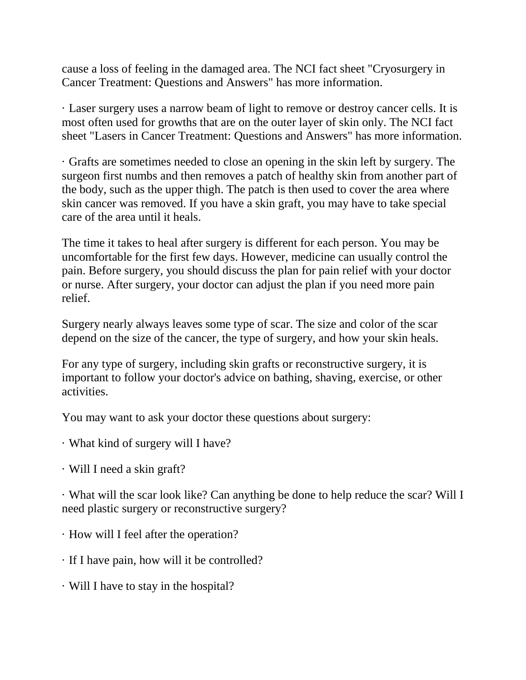cause a loss of feeling in the damaged area. The NCI fact sheet "Cryosurgery in Cancer Treatment: Questions and Answers" has more information.

· Laser surgery uses a narrow beam of light to remove or destroy cancer cells. It is most often used for growths that are on the outer layer of skin only. The NCI fact sheet "Lasers in Cancer Treatment: Questions and Answers" has more information.

· Grafts are sometimes needed to close an opening in the skin left by surgery. The surgeon first numbs and then removes a patch of healthy skin from another part of the body, such as the upper thigh. The patch is then used to cover the area where skin cancer was removed. If you have a skin graft, you may have to take special care of the area until it heals.

The time it takes to heal after surgery is different for each person. You may be uncomfortable for the first few days. However, medicine can usually control the pain. Before surgery, you should discuss the plan for pain relief with your doctor or nurse. After surgery, your doctor can adjust the plan if you need more pain relief.

Surgery nearly always leaves some type of scar. The size and color of the scar depend on the size of the cancer, the type of surgery, and how your skin heals.

For any type of surgery, including skin grafts or reconstructive surgery, it is important to follow your doctor's advice on bathing, shaving, exercise, or other activities.

You may want to ask your doctor these questions about surgery:

- · What kind of surgery will I have?
- · Will I need a skin graft?

· What will the scar look like? Can anything be done to help reduce the scar? Will I need plastic surgery or reconstructive surgery?

- · How will I feel after the operation?
- · If I have pain, how will it be controlled?
- · Will I have to stay in the hospital?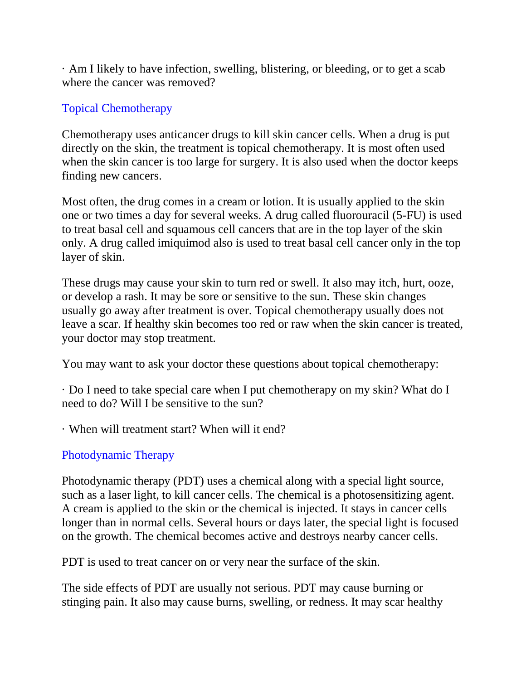· Am I likely to have infection, swelling, blistering, or bleeding, or to get a scab where the cancer was removed?

# Topical Chemotherapy

Chemotherapy uses anticancer drugs to kill skin cancer cells. When a drug is put directly on the skin, the treatment is topical chemotherapy. It is most often used when the skin cancer is too large for surgery. It is also used when the doctor keeps finding new cancers.

Most often, the drug comes in a cream or lotion. It is usually applied to the skin one or two times a day for several weeks. A drug called fluorouracil (5-FU) is used to treat basal cell and squamous cell cancers that are in the top layer of the skin only. A drug called imiquimod also is used to treat basal cell cancer only in the top layer of skin.

These drugs may cause your skin to turn red or swell. It also may itch, hurt, ooze, or develop a rash. It may be sore or sensitive to the sun. These skin changes usually go away after treatment is over. Topical chemotherapy usually does not leave a scar. If healthy skin becomes too red or raw when the skin cancer is treated, your doctor may stop treatment.

You may want to ask your doctor these questions about topical chemotherapy:

· Do I need to take special care when I put chemotherapy on my skin? What do I need to do? Will I be sensitive to the sun?

· When will treatment start? When will it end?

## Photodynamic Therapy

Photodynamic therapy (PDT) uses a chemical along with a special light source, such as a laser light, to kill cancer cells. The chemical is a photosensitizing agent. A cream is applied to the skin or the chemical is injected. It stays in cancer cells longer than in normal cells. Several hours or days later, the special light is focused on the growth. The chemical becomes active and destroys nearby cancer cells.

PDT is used to treat cancer on or very near the surface of the skin.

The side effects of PDT are usually not serious. PDT may cause burning or stinging pain. It also may cause burns, swelling, or redness. It may scar healthy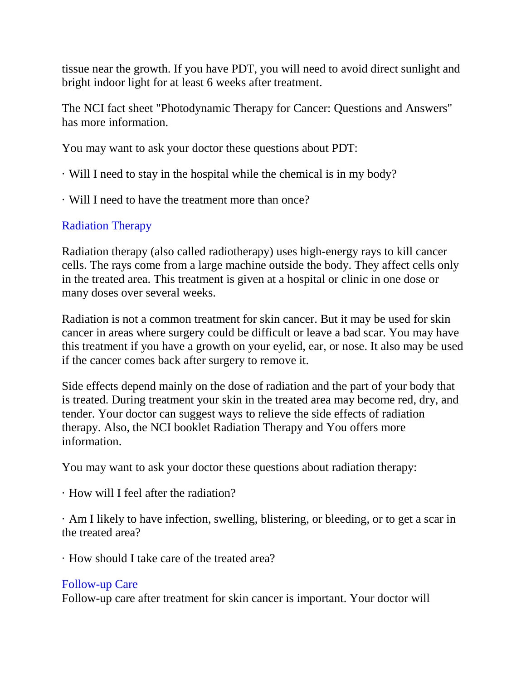tissue near the growth. If you have PDT, you will need to avoid direct sunlight and bright indoor light for at least 6 weeks after treatment.

The NCI fact sheet "Photodynamic Therapy for Cancer: Questions and Answers" has more information.

You may want to ask your doctor these questions about PDT:

- · Will I need to stay in the hospital while the chemical is in my body?
- · Will I need to have the treatment more than once?

## Radiation Therapy

Radiation therapy (also called radiotherapy) uses high-energy rays to kill cancer cells. The rays come from a large machine outside the body. They affect cells only in the treated area. This treatment is given at a hospital or clinic in one dose or many doses over several weeks.

Radiation is not a common treatment for skin cancer. But it may be used for skin cancer in areas where surgery could be difficult or leave a bad scar. You may have this treatment if you have a growth on your eyelid, ear, or nose. It also may be used if the cancer comes back after surgery to remove it.

Side effects depend mainly on the dose of radiation and the part of your body that is treated. During treatment your skin in the treated area may become red, dry, and tender. Your doctor can suggest ways to relieve the side effects of radiation therapy. Also, the NCI booklet Radiation Therapy and You offers more information.

You may want to ask your doctor these questions about radiation therapy:

· How will I feel after the radiation?

· Am I likely to have infection, swelling, blistering, or bleeding, or to get a scar in the treated area?

· How should I take care of the treated area?

## Follow-up Care

Follow-up care after treatment for skin cancer is important. Your doctor will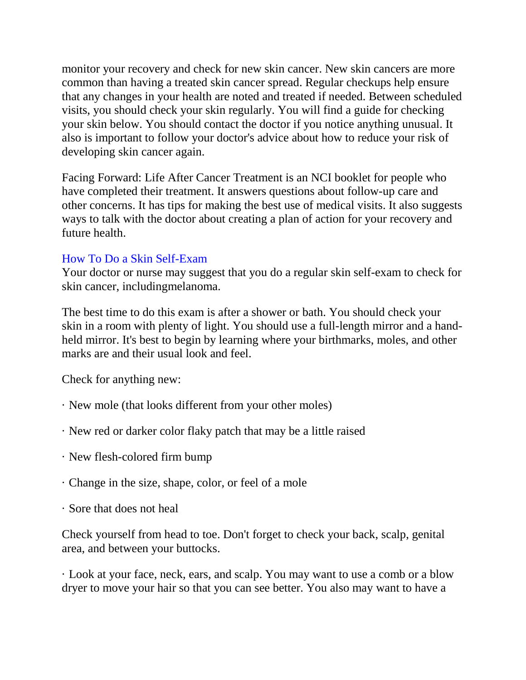monitor your recovery and check for new skin cancer. New skin cancers are more common than having a treated skin cancer spread. Regular checkups help ensure that any changes in your health are noted and treated if needed. Between scheduled visits, you should check your skin regularly. You will find a guide for checking your skin below. You should contact the doctor if you notice anything unusual. It also is important to follow your doctor's advice about how to reduce your risk of developing skin cancer again.

Facing Forward: Life After Cancer Treatment is an NCI booklet for people who have completed their treatment. It answers questions about follow-up care and other concerns. It has tips for making the best use of medical visits. It also suggests ways to talk with the doctor about creating a plan of action for your recovery and future health.

#### How To Do a Skin Self-Exam

Your doctor or nurse may suggest that you do a regular skin self-exam to check for skin cancer, includingmelanoma.

The best time to do this exam is after a shower or bath. You should check your skin in a room with plenty of light. You should use a full-length mirror and a handheld mirror. It's best to begin by learning where your birthmarks, moles, and other marks are and their usual look and feel.

Check for anything new:

- · New mole (that looks different from your other moles)
- · New red or darker color flaky patch that may be a little raised
- · New flesh-colored firm bump
- · Change in the size, shape, color, or feel of a mole
- · Sore that does not heal

Check yourself from head to toe. Don't forget to check your back, scalp, genital area, and between your buttocks.

· Look at your face, neck, ears, and scalp. You may want to use a comb or a blow dryer to move your hair so that you can see better. You also may want to have a